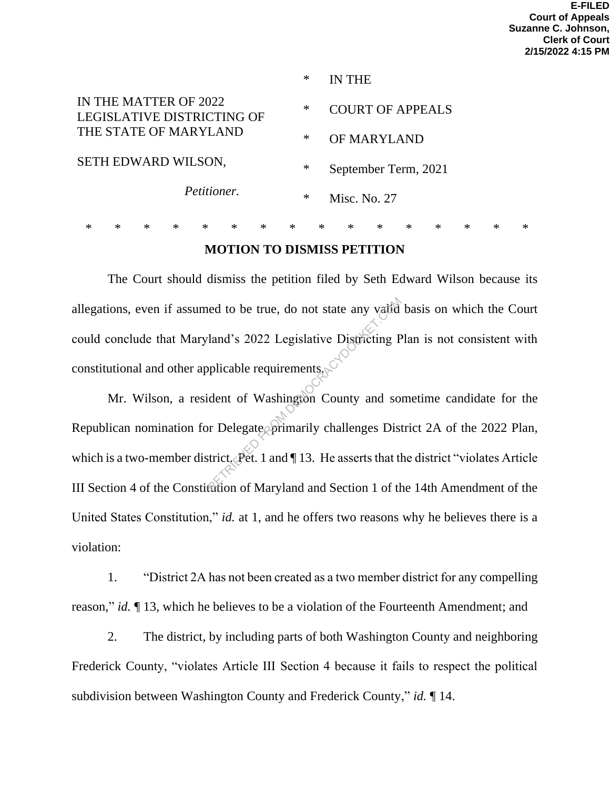|                                                                                                                    |   |        |        |        |        |        | ∗      |        | IN THE                  |        |        |        |        |        |        |  |
|--------------------------------------------------------------------------------------------------------------------|---|--------|--------|--------|--------|--------|--------|--------|-------------------------|--------|--------|--------|--------|--------|--------|--|
| IN THE MATTER OF 2022<br>LEGISLATIVE DISTRICTING OF<br>THE STATE OF MARYLAND<br>SETH EDWARD WILSON,<br>Petitioner. |   |        |        |        |        |        | $\ast$ |        | <b>COURT OF APPEALS</b> |        |        |        |        |        |        |  |
|                                                                                                                    |   |        |        |        |        |        | $\ast$ |        | OF MARYLAND             |        |        |        |        |        |        |  |
|                                                                                                                    |   |        |        |        |        |        | $\ast$ |        | September Term, 2021    |        |        |        |        |        |        |  |
|                                                                                                                    |   |        |        |        |        |        | $\ast$ |        | Misc. No. 27            |        |        |        |        |        |        |  |
| ж                                                                                                                  | ж | $\ast$ | $\ast$ | $\ast$ | $\ast$ | $\ast$ | $\ast$ | $\ast$ | $\ast$                  | $\ast$ | $\ast$ | $\ast$ | $\ast$ | $\ast$ | $\ast$ |  |

## **MOTION TO DISMISS PETITION**

The Court should dismiss the petition filed by Seth Edward Wilson because its allegations, even if assumed to be true, do not state any valid basis on which the Court could conclude that Maryland's 2022 Legislative Districting Plan is not consistent with constitutional and other applicable requirements.

Mr. Wilson, a resident of Washington County and sometime candidate for the Republican nomination for Delegate, primarily challenges District 2A of the 2022 Plan, which is a two-member district. Pet. 1 and  $\P$  13. He asserts that the district "violates Article" III Section 4 of the Constitution of Maryland and Section 1 of the 14th Amendment of the United States Constitution," *id.* at 1, and he offers two reasons why he believes there is a violation: ed to be true, do not state any valid<br>
land's 2022 Legislative Districting P<br>
pplicable requirements<br>
ident of Washington County and so<br>
or Delegate primarily challenges District.<br>
Pet. 1 and 13. He asserts that the<br>
futio

1. "District 2A has not been created as a two member district for any compelling reason," *id.* ¶ 13, which he believes to be a violation of the Fourteenth Amendment; and

2. The district, by including parts of both Washington County and neighboring Frederick County, "violates Article III Section 4 because it fails to respect the political subdivision between Washington County and Frederick County," *id.* ¶ 14.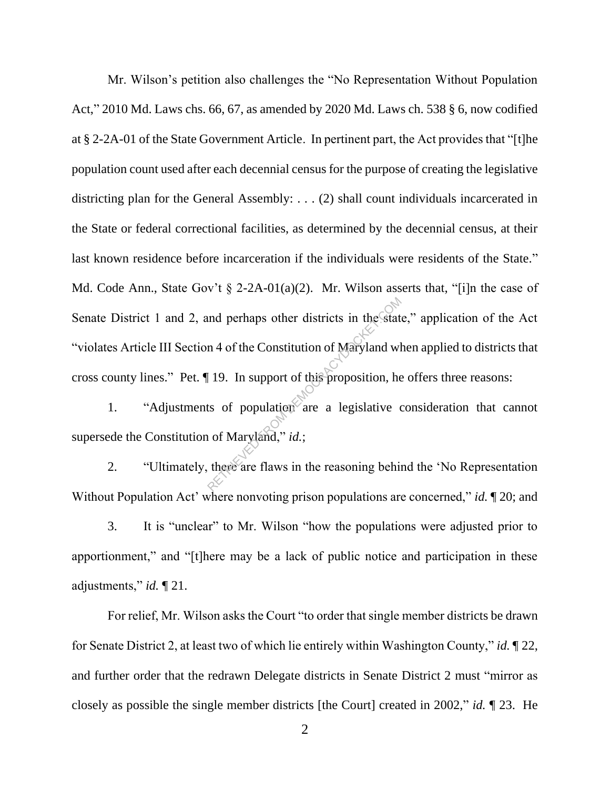Mr. Wilson's petition also challenges the "No Representation Without Population Act," 2010 Md. Laws chs. 66, 67, as amended by 2020 Md. Laws ch. 538 § 6, now codified at § 2-2A-01 of the State Government Article. In pertinent part, the Act provides that "[t]he population count used after each decennial census for the purpose of creating the legislative districting plan for the General Assembly: . . . (2) shall count individuals incarcerated in the State or federal correctional facilities, as determined by the decennial census, at their last known residence before incarceration if the individuals were residents of the State." Md. Code Ann., State Gov't  $\S$  2-2A-01(a)(2). Mr. Wilson asserts that, "[i]n the case of Senate District 1 and 2, and perhaps other districts in the state," application of the Act "violates Article III Section 4 of the Constitution of Maryland when applied to districts that cross county lines." Pet. ¶ 19. In support of this proposition, he offers three reasons: and perhaps other districts in the stat<br>  $n$  4 of the Constitution of Maryland wl<br>  $\begin{bmatrix} 19. \text{ In support of this proposition, he} \\ \text{the two two conditions are a legislative} \\ \text{the two two conditions are the same.} \end{bmatrix}$ <br>  $\begin{bmatrix} 19. \text{ In support of this proposition, he} \\ \text{the two conditions are a legislative} \\ \text{the two conditions are the same.} \end{bmatrix}$ 

1. "Adjustments of population are a legislative consideration that cannot supersede the Constitution of Maryland," *id.*;

2. "Ultimately, there are flaws in the reasoning behind the 'No Representation Without Population Act' where nonvoting prison populations are concerned," *id.* ¶ 20; and

3. It is "unclear" to Mr. Wilson "how the populations were adjusted prior to apportionment," and "[t]here may be a lack of public notice and participation in these adjustments," *id.* ¶ 21.

For relief, Mr. Wilson asks the Court "to order that single member districts be drawn for Senate District 2, at least two of which lie entirely within Washington County," *id.* ¶ 22, and further order that the redrawn Delegate districts in Senate District 2 must "mirror as closely as possible the single member districts [the Court] created in 2002," *id.* ¶ 23. He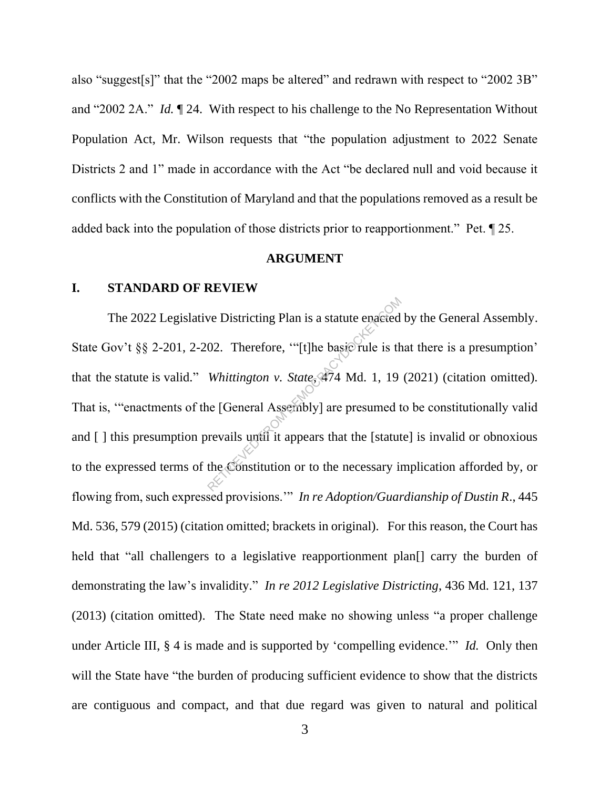also "suggest[s]" that the "2002 maps be altered" and redrawn with respect to "2002 3B" and "2002 2A." *Id.* ¶ 24. With respect to his challenge to the No Representation Without Population Act, Mr. Wilson requests that "the population adjustment to 2022 Senate Districts 2 and 1" made in accordance with the Act "be declared null and void because it conflicts with the Constitution of Maryland and that the populations removed as a result be added back into the population of those districts prior to reapportionment." Pet. ¶ 25.

#### **ARGUMENT**

#### **I. STANDARD OF REVIEW**

The 2022 Legislative Districting Plan is a statute enacted by the General Assembly. State Gov't §§ 2-201, 2-202. Therefore, "[t]he basic rule is that there is a presumption' that the statute is valid." *Whittington v. State*, 474 Md. 1, 19 (2021) (citation omitted). That is, '"enactments of the [General Assembly] are presumed to be constitutionally valid and [] this presumption prevails until it appears that the [statute] is invalid or obnoxious to the expressed terms of the Constitution or to the necessary implication afforded by, or flowing from, such expressed provisions.'" *In re Adoption/Guardianship of Dustin R*., 445 Md. 536, 579 (2015) (citation omitted; brackets in original). For this reason, the Court has held that "all challengers to a legislative reapportionment plan<sup>[]</sup> carry the burden of demonstrating the law's invalidity." *In re 2012 Legislative Districting*, 436 Md. 121, 137 (2013) (citation omitted). The State need make no showing unless "a proper challenge under Article III, § 4 is made and is supported by 'compelling evidence.'" *Id.* Only then will the State have "the burden of producing sufficient evidence to show that the districts are contiguous and compact, and that due regard was given to natural and political we Districting Plan is a statute enacted<br>02. Therefore, "[t]he basic rule is the<br>Whittington v. State, 474 Md. 1, 19<br>ne [General Assembly] are presumed the<br>revails until it appears that the [statut]<br>the Constitution or to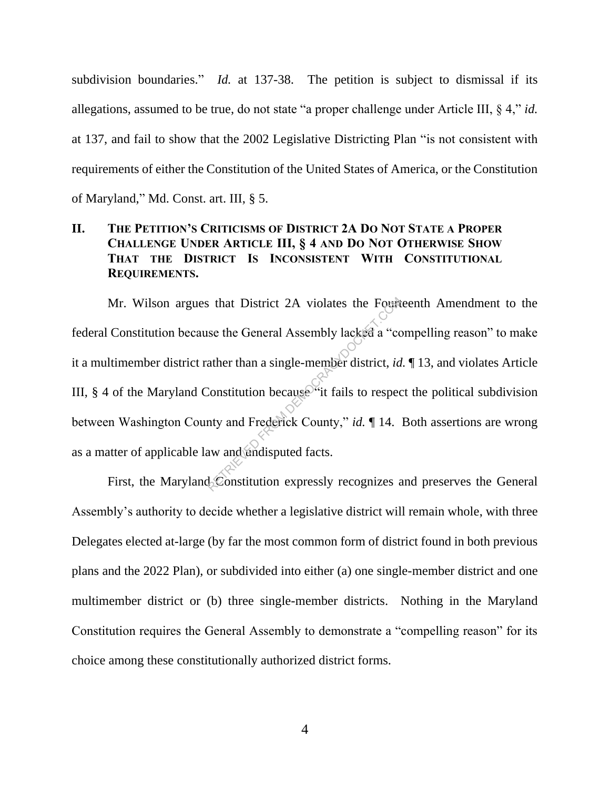subdivision boundaries." *Id.* at 137-38. The petition is subject to dismissal if its allegations, assumed to be true, do not state "a proper challenge under Article III, § 4," *id.*  at 137, and fail to show that the 2002 Legislative Districting Plan "is not consistent with requirements of either the Constitution of the United States of America, or the Constitution of Maryland," Md. Const. art. III, § 5.

## **II. THE PETITION'S CRITICISMS OF DISTRICT 2A DO NOT STATE A PROPER CHALLENGE UNDER ARTICLE III, § 4 AND DO NOT OTHERWISE SHOW THAT THE DISTRICT IS INCONSISTENT WITH CONSTITUTIONAL REQUIREMENTS.**

Mr. Wilson argues that District 2A violates the Fourteenth Amendment to the federal Constitution because the General Assembly lacked a "compelling reason" to make it a multimember district rather than a single-member district, *id.* ¶ 13, and violates Article III,  $\S$  4 of the Maryland Constitution because it fails to respect the political subdivision between Washington County and Frederick County," *id.* ¶ 14. Both assertions are wrong as a matter of applicable law and undisputed facts. From District 2A violates the Fourth<br>see the General Assembly lacked a "computer district, *id*<br>constitution because "it fails to respect<br>the constitution because" it fails to respect<br>the method of the seeds of the seeds

First, the Maryland Constitution expressly recognizes and preserves the General Assembly's authority to decide whether a legislative district will remain whole, with three Delegates elected at-large (by far the most common form of district found in both previous plans and the 2022 Plan), or subdivided into either (a) one single-member district and one multimember district or (b) three single-member districts. Nothing in the Maryland Constitution requires the General Assembly to demonstrate a "compelling reason" for its choice among these constitutionally authorized district forms.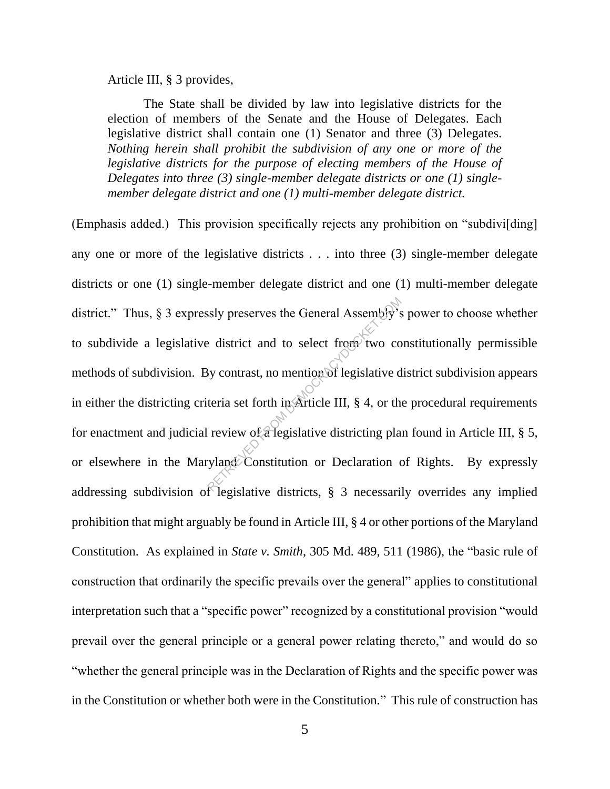Article III, § 3 provides,

The State shall be divided by law into legislative districts for the election of members of the Senate and the House of Delegates. Each legislative district shall contain one (1) Senator and three (3) Delegates. *Nothing herein shall prohibit the subdivision of any one or more of the legislative districts for the purpose of electing members of the House of Delegates into three (3) single-member delegate districts or one (1) singlemember delegate district and one (1) multi-member delegate district.*

(Emphasis added.) This provision specifically rejects any prohibition on "subdivi[ding] any one or more of the legislative districts . . . into three (3) single-member delegate districts or one (1) single-member delegate district and one (1) multi-member delegate district." Thus, § 3 expressly preserves the General Assembly's power to choose whether to subdivide a legislative district and to select from two constitutionally permissible methods of subdivision. By contrast, no mention of legislative district subdivision appears in either the districting criteria set forth in Article III, § 4, or the procedural requirements for enactment and judicial review of a legislative districting plan found in Article III, § 5, or elsewhere in the Maryland Constitution or Declaration of Rights. By expressly addressing subdivision of legislative districts, § 3 necessarily overrides any implied prohibition that might arguably be found in Article III, § 4 or other portions of the Maryland Constitution. As explained in *State v. Smith*, 305 Md. 489, 511 (1986), the "basic rule of construction that ordinarily the specific prevails over the general" applies to constitutional interpretation such that a "specific power" recognized by a constitutional provision "would prevail over the general principle or a general power relating thereto," and would do so "whether the general principle was in the Declaration of Rights and the specific power was in the Constitution or whether both were in the Constitution." This rule of construction has Saly preserves the General Assembly's<br>
Le district and to select from two compares of the district of the selection<br>
of legislative district of the review of a legislative districting planet<br>
planet Constitution or Declara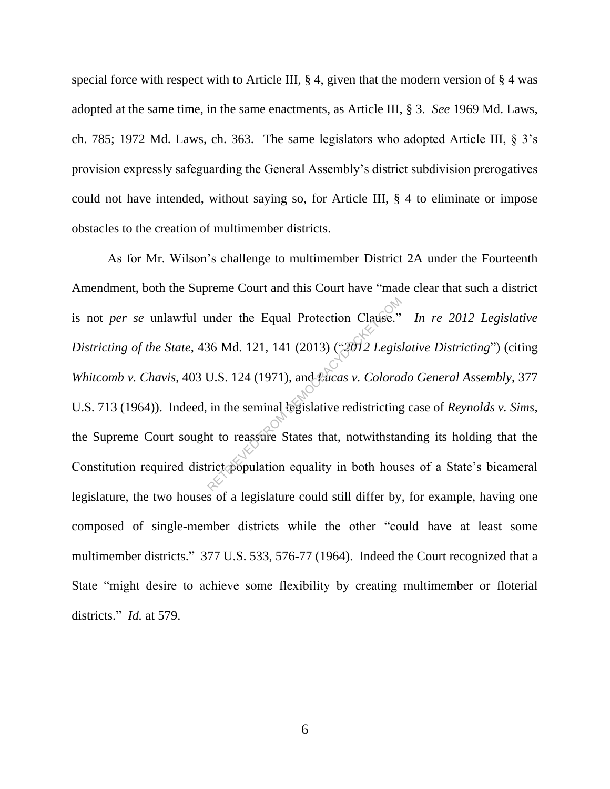special force with respect with to Article III,  $\S 4$ , given that the modern version of  $\S 4$  was adopted at the same time, in the same enactments, as Article III, § 3. *See* 1969 Md. Laws, ch. 785; 1972 Md. Laws, ch. 363. The same legislators who adopted Article III, § 3's provision expressly safeguarding the General Assembly's district subdivision prerogatives could not have intended, without saying so, for Article III, § 4 to eliminate or impose obstacles to the creation of multimember districts.

As for Mr. Wilson's challenge to multimember District 2A under the Fourteenth Amendment, both the Supreme Court and this Court have "made clear that such a district is not *per se* unlawful under the Equal Protection Clause." *In re 2012 Legislative Districting of the State*, 436 Md. 121, 141 (2013) ("*2012 Legislative Districting*") (citing *Whitcomb v. Chavis*, 403 U.S. 124 (1971), and *Lucas v. Colorado General Assembly*, 377 U.S. 713 (1964)). Indeed, in the seminal legislative redistricting case of *Reynolds v. Sims*, the Supreme Court sought to reassure States that, notwithstanding its holding that the Constitution required district population equality in both houses of a State's bicameral legislature, the two houses of a legislature could still differ by, for example, having one composed of single-member districts while the other "could have at least some multimember districts." 377 U.S. 533, 576-77 (1964). Indeed the Court recognized that a State "might desire to achieve some flexibility by creating multimember or floterial districts." *Id.* at 579. under the Equal Protection Clause."<br>  $86$  Md. 121, 141 (2013) (" $2012$  Legis<br>
U.S. 124 (1971), and  $2acas v$ . Colora<br>
in the seminal legislative redistricting<br>
at to reassure States that, notwithstar<br>
rict population equalit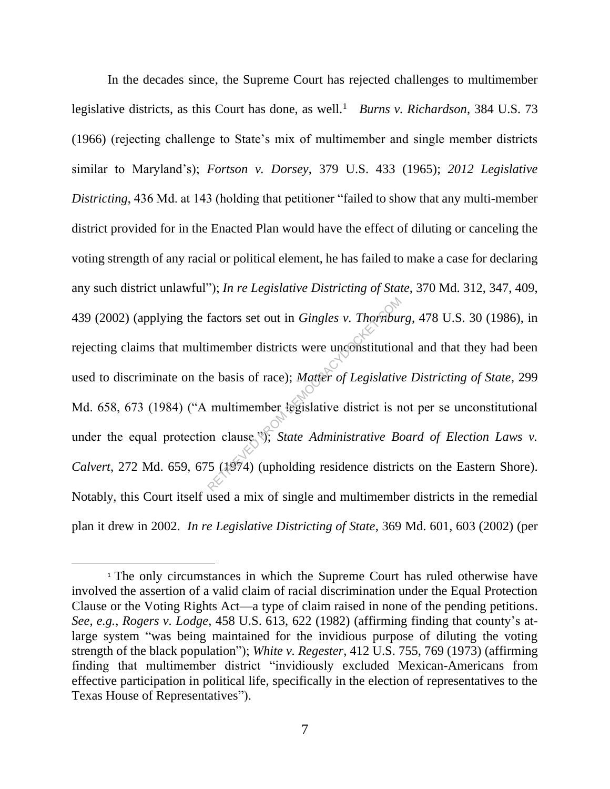In the decades since, the Supreme Court has rejected challenges to multimember legislative districts, as this Court has done, as well.<sup>1</sup> *Burns v. Richardson*, 384 U.S. 73 (1966) (rejecting challenge to State's mix of multimember and single member districts similar to Maryland's); *Fortson v. Dorsey*, 379 U.S. 433 (1965); *2012 Legislative Districting*, 436 Md. at 143 (holding that petitioner "failed to show that any multi-member district provided for in the Enacted Plan would have the effect of diluting or canceling the voting strength of any racial or political element, he has failed to make a case for declaring any such district unlawful"); *In re Legislative Districting of State*, 370 Md. 312, 347, 409, 439 (2002) (applying the factors set out in *Gingles v. Thornburg*, 478 U.S. 30 (1986), in rejecting claims that multimember districts were unconstitutional and that they had been used to discriminate on the basis of race); *Matter of Legislative Districting of State*, 299 Md. 658, 673 (1984) ("A multimember legislative district is not per se unconstitutional under the equal protection clause."); *State Administrative Board of Election Laws v. Calvert*, 272 Md. 659, 675 (1974) (upholding residence districts on the Eastern Shore). Notably, this Court itself used a mix of single and multimember districts in the remedial plan it drew in 2002. *In re Legislative Districting of State*, 369 Md. 601, 603 (2002) (per factors set out in *Gingles v. Thornbui*<br>imember districts were unconstitution<br>le basis of race); *Matter of Legislativ*<br>multimember legislative district is non clause.<sup>35</sup>); *State Administrative Be*<br>5 (1974) (upholding r

<sup>&</sup>lt;sup>1</sup> The only circumstances in which the Supreme Court has ruled otherwise have involved the assertion of a valid claim of racial discrimination under the Equal Protection Clause or the Voting Rights Act—a type of claim raised in none of the pending petitions. *See, e.g.*, *Rogers v. Lodge*, 458 U.S. 613, 622 (1982) (affirming finding that county's atlarge system "was being maintained for the invidious purpose of diluting the voting strength of the black population"); *White v. Regester*, 412 U.S. 755, 769 (1973) (affirming finding that multimember district "invidiously excluded Mexican-Americans from effective participation in political life, specifically in the election of representatives to the Texas House of Representatives").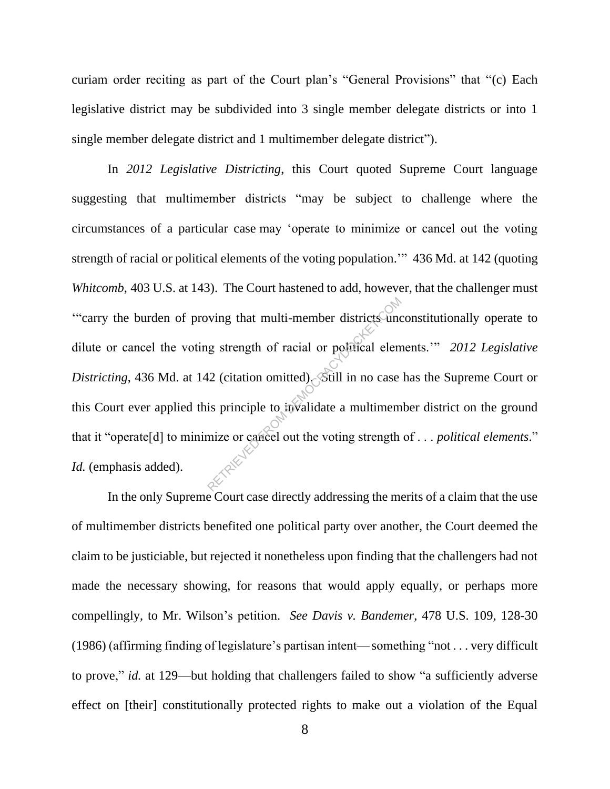curiam order reciting as part of the Court plan's "General Provisions" that "(c) Each legislative district may be subdivided into 3 single member delegate districts or into 1 single member delegate district and 1 multimember delegate district").

In *2012 Legislative Districting*, this Court quoted Supreme Court language suggesting that multimember districts "may be subject to challenge where the circumstances of a particular case may 'operate to minimize or cancel out the voting strength of racial or political elements of the voting population.'" 436 Md. at 142 (quoting *Whitcomb*, 403 U.S. at 143). The Court hastened to add, however, that the challenger must '"carry the burden of proving that multi-member districts unconstitutionally operate to dilute or cancel the voting strength of racial or political elements.'" *2012 Legislative Districting*, 436 Md. at 142 (citation omitted). Still in no case has the Supreme Court or this Court ever applied this principle to invalidate a multimember district on the ground that it "operate[d] to minimize or cancel out the voting strength of . . . *political elements*." *Id.* (emphasis added). wing that multi-member districts und<br>ug strength of racial or political elem<br>12 (citation omitted) Still in no case<br>is principle to invalidate a multimem<br>nize or cancel out the voting strength

In the only Supreme Court case directly addressing the merits of a claim that the use of multimember districts benefited one political party over another, the Court deemed the claim to be justiciable, but rejected it nonetheless upon finding that the challengers had not made the necessary showing, for reasons that would apply equally, or perhaps more compellingly, to Mr. Wilson's petition. *See Davis v. Bandemer*, 478 U.S. 109, 128-30 (1986) (affirming finding of legislature's partisan intent—something "not . . . very difficult to prove," *id.* at 129—but holding that challengers failed to show "a sufficiently adverse effect on [their] constitutionally protected rights to make out a violation of the Equal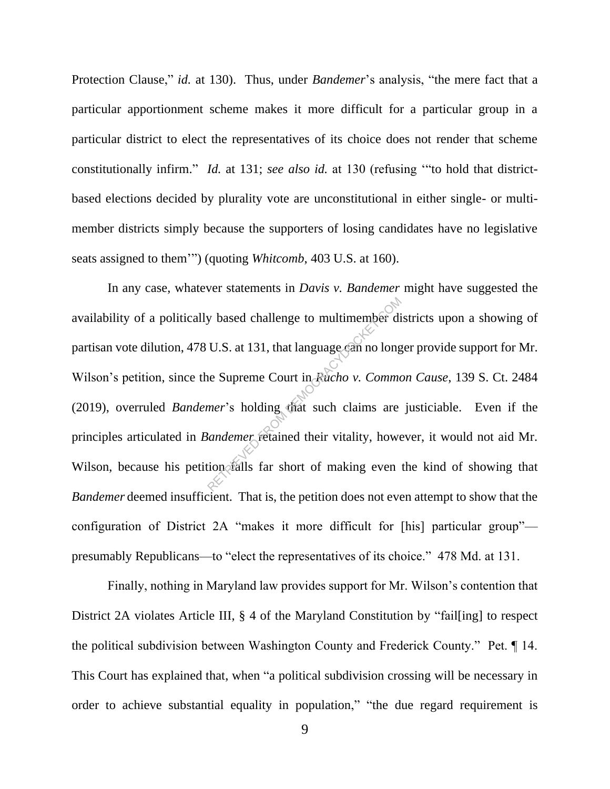Protection Clause," *id.* at 130). Thus, under *Bandemer*'s analysis, "the mere fact that a particular apportionment scheme makes it more difficult for a particular group in a particular district to elect the representatives of its choice does not render that scheme constitutionally infirm." *Id.* at 131; *see also id.* at 130 (refusing '"to hold that districtbased elections decided by plurality vote are unconstitutional in either single- or multimember districts simply because the supporters of losing candidates have no legislative seats assigned to them'") (quoting *Whitcomb*, 403 U.S. at 160).

In any case, whatever statements in *Davis v. Bandemer* might have suggested the availability of a politically based challenge to multimember districts upon a showing of partisan vote dilution, 478 U.S. at 131, that language can no longer provide support for Mr. Wilson's petition, since the Supreme Court in *Rucho v. Common Cause*, 139 S. Ct. 2484 (2019), overruled *Bandemer*'s holding that such claims are justiciable. Even if the principles articulated in *Bandemer* retained their vitality, however, it would not aid Mr. Wilson, because his petition falls far short of making even the kind of showing that *Bandemer* deemed insufficient. That is, the petition does not even attempt to show that the configuration of District 2A "makes it more difficult for [his] particular group" presumably Republicans—to "elect the representatives of its choice." 478 Md. at 131. g based challenge to multimember di<br>U.S. at 131, that language can no long<br>the Supreme Court in *Facho v. Comments* is holding that such claims are<br>andemer retained their vitality, hower<br>ion falls far short of making even

Finally, nothing in Maryland law provides support for Mr. Wilson's contention that District 2A violates Article III, § 4 of the Maryland Constitution by "fail[ing] to respect the political subdivision between Washington County and Frederick County." Pet. ¶ 14. This Court has explained that, when "a political subdivision crossing will be necessary in order to achieve substantial equality in population," "the due regard requirement is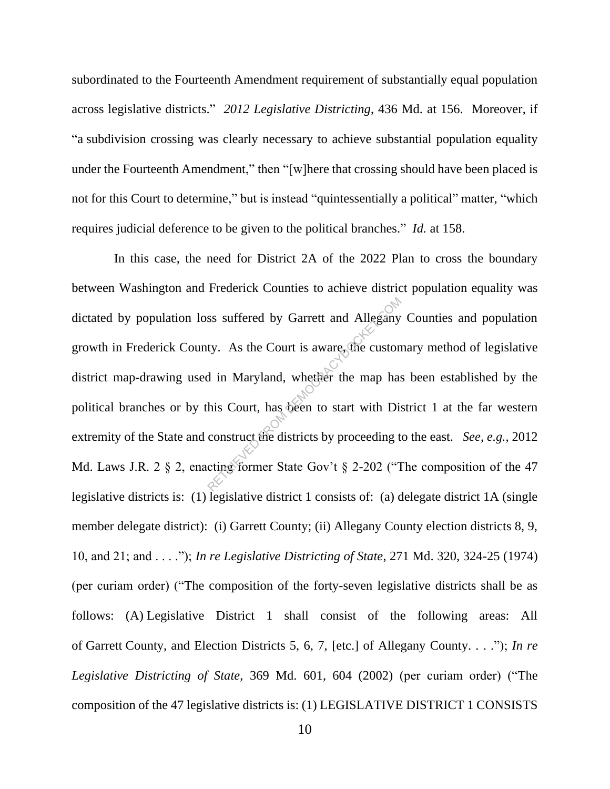subordinated to the Fourteenth Amendment requirement of substantially equal population across legislative districts." *2012 Legislative Districting*, 436 Md. at 156. Moreover, if "a subdivision crossing was clearly necessary to achieve substantial population equality under the Fourteenth Amendment," then "[w]here that crossing should have been placed is not for this Court to determine," but is instead "quintessentially a political" matter, "which requires judicial deference to be given to the political branches." *Id.* at 158.

 In this case, the need for District 2A of the 2022 Plan to cross the boundary between Washington and Frederick Counties to achieve district population equality was dictated by population loss suffered by Garrett and Allegany Counties and population growth in Frederick County. As the Court is aware, the customary method of legislative district map-drawing used in Maryland, whether the map has been established by the political branches or by this Court, has been to start with District 1 at the far western extremity of the State and construct the districts by proceeding to the east. *See, e.g.*, 2012 Md. Laws J.R. 2 § 2, enacting former State Gov't § 2-202 ("The composition of the 47 legislative districts is: (1) legislative district 1 consists of: (a) delegate district 1A (single member delegate district): (i) Garrett County; (ii) Allegany County election districts 8, 9, 10, and 21; and . . . ."); *In re Legislative Districting of State*, 271 Md. 320, 324-25 (1974) (per curiam order) ("The composition of the forty-seven legislative districts shall be as follows: (A) Legislative District 1 shall consist of the following areas: All of Garrett County, and Election Districts 5, 6, 7, [etc.] of Allegany County. . . ."); *In re Legislative Districting of State*, 369 Md. 601, 604 (2002) (per curiam order) ("The composition of the 47 legislative districts is: (1) LEGISLATIVE DISTRICT 1 CONSISTS ss suffered by Garrett and Allegany<br>ty. As the Court is aware, the custon<br>d in Maryland, whether the map has<br>his Court, has been to start with Dis<br>construct the districts by proceeding t<br>cting former State Gov't  $\S 2-202$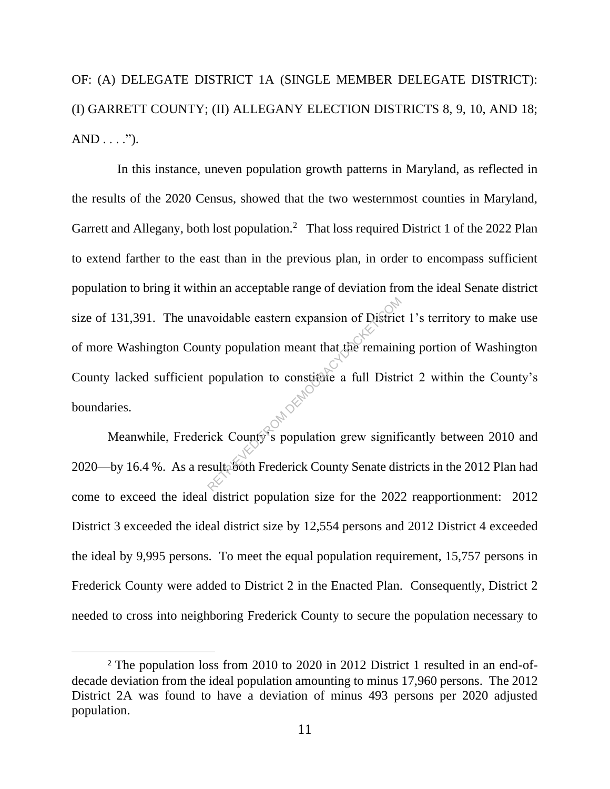OF: (A) DELEGATE DISTRICT 1A (SINGLE MEMBER DELEGATE DISTRICT): (I) GARRETT COUNTY; (II) ALLEGANY ELECTION DISTRICTS 8, 9, 10, AND 18;  $AND \ldots$ .").

 In this instance, uneven population growth patterns in Maryland, as reflected in the results of the 2020 Census, showed that the two westernmost counties in Maryland, Garrett and Allegany, both lost population.<sup>2</sup> That loss required District 1 of the 2022 Plan to extend farther to the east than in the previous plan, in order to encompass sufficient population to bring it within an acceptable range of deviation from the ideal Senate district size of 131,391. The unavoidable eastern expansion of District 1's territory to make use of more Washington County population meant that the remaining portion of Washington County lacked sufficient population to constitute a full District 2 within the County's boundaries. voidable eastern expansion of District<br>nty population meant that the remaini<br>population to constitute a full District<br>ick County's population grew significally<br>sulty of Frederick County Senate dis

Meanwhile, Frederick County's population grew significantly between 2010 and 2020—by 16.4 %. As a result, both Frederick County Senate districts in the 2012 Plan had come to exceed the ideal district population size for the 2022 reapportionment: 2012 District 3 exceeded the ideal district size by 12,554 persons and 2012 District 4 exceeded the ideal by 9,995 persons. To meet the equal population requirement, 15,757 persons in Frederick County were added to District 2 in the Enacted Plan. Consequently, District 2 needed to cross into neighboring Frederick County to secure the population necessary to

<sup>&</sup>lt;sup>2</sup> The population loss from 2010 to 2020 in 2012 District 1 resulted in an end-ofdecade deviation from the ideal population amounting to minus 17,960 persons. The 2012 District 2A was found to have a deviation of minus 493 persons per 2020 adjusted population.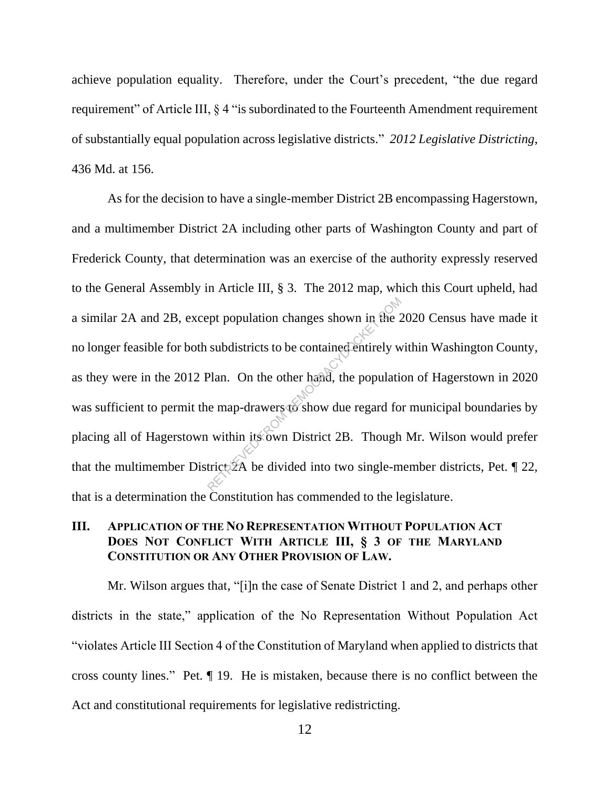achieve population equality. Therefore, under the Court's precedent, "the due regard requirement" of Article III, § 4 "is subordinated to the Fourteenth Amendment requirement of substantially equal population across legislative districts." *2012 Legislative Districting*, 436 Md. at 156.

As for the decision to have a single-member District 2B encompassing Hagerstown, and a multimember District 2A including other parts of Washington County and part of Frederick County, that determination was an exercise of the authority expressly reserved to the General Assembly in Article III, § 3. The 2012 map, which this Court upheld, had a similar 2A and 2B, except population changes shown in the 2020 Census have made it no longer feasible for both subdistricts to be contained entirely within Washington County, as they were in the 2012 Plan. On the other hand, the population of Hagerstown in 2020 was sufficient to permit the map-drawers to show due regard for municipal boundaries by placing all of Hagerstown within its own District 2B. Though Mr. Wilson would prefer that the multimember District  $\mathbb{X}$ A be divided into two single-member districts, Pet. 1 22, that is a determination the Constitution has commended to the legislature. Population changes shown in the 2<br>subdistricts to be contained entirely w<br>Plan. On the other hand, the population<br>are map-drawers to show due regard for within its own District 2B. Though<br>trict 2A be divided into two singl

# **III. APPLICATION OF THE NO REPRESENTATION WITHOUT POPULATION ACT DOES NOT CONFLICT WITH ARTICLE III, § 3 OF THE MARYLAND CONSTITUTION OR ANY OTHER PROVISION OF LAW.**

Mr. Wilson argues that, "[i]n the case of Senate District 1 and 2, and perhaps other districts in the state," application of the No Representation Without Population Act "violates Article III Section 4 of the Constitution of Maryland when applied to districts that cross county lines." Pet. ¶ 19. He is mistaken, because there is no conflict between the Act and constitutional requirements for legislative redistricting.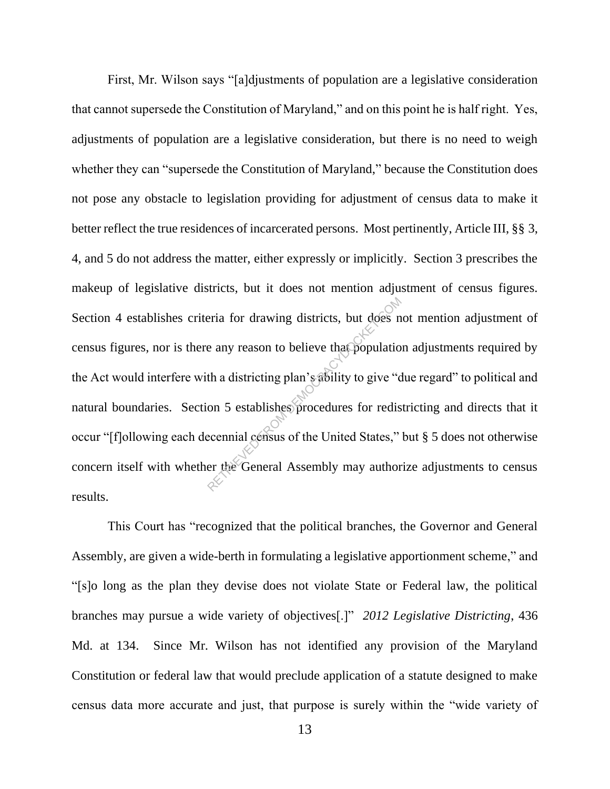First, Mr. Wilson says "[a]djustments of population are a legislative consideration that cannot supersede the Constitution of Maryland," and on this point he is half right. Yes, adjustments of population are a legislative consideration, but there is no need to weigh whether they can "supersede the Constitution of Maryland," because the Constitution does not pose any obstacle to legislation providing for adjustment of census data to make it better reflect the true residences of incarcerated persons. Most pertinently, Article III, §§ 3, 4, and 5 do not address the matter, either expressly or implicitly. Section 3 prescribes the makeup of legislative districts, but it does not mention adjustment of census figures. Section 4 establishes criteria for drawing districts, but does not mention adjustment of census figures, nor is there any reason to believe that population adjustments required by the Act would interfere with a districting plan's ability to give "due regard" to political and natural boundaries. Section 5 establishes procedures for redistricting and directs that it occur "[f]ollowing each decennial census of the United States," but § 5 does not otherwise concern itself with whether the General Assembly may authorize adjustments to census results. Pria for drawing districts, but does n<br>
e any reason to believe that populatio<br>
th a districting plan's ability to give "complete"<br>
on 5 establishes procedures for redis<br>
ecennial census of the United States,"<br>
er the Gene

This Court has "recognized that the political branches, the Governor and General Assembly, are given a wide-berth in formulating a legislative apportionment scheme," and "[s]o long as the plan they devise does not violate State or Federal law, the political branches may pursue a wide variety of objectives[.]" *2012 Legislative Districting*, 436 Md. at 134. Since Mr. Wilson has not identified any provision of the Maryland Constitution or federal law that would preclude application of a statute designed to make census data more accurate and just, that purpose is surely within the "wide variety of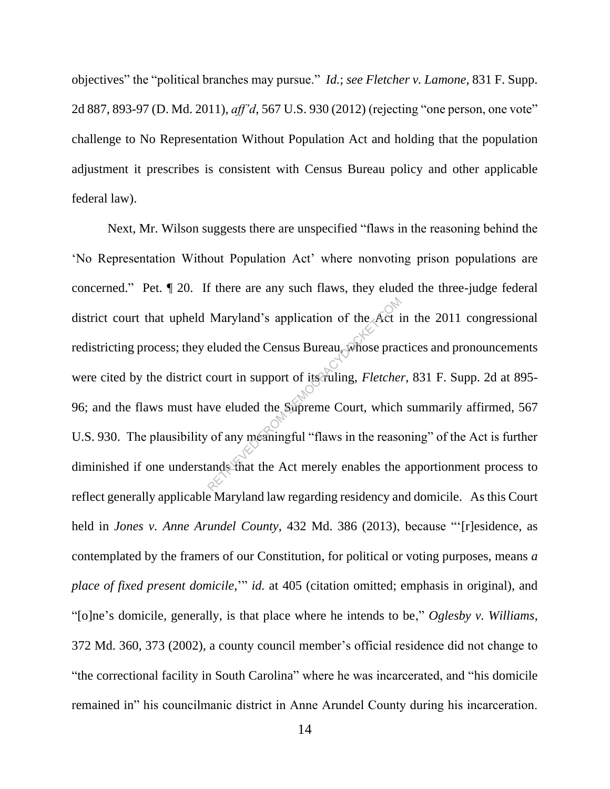objectives" the "political branches may pursue." *Id.*; *see Fletcher v. Lamone*, 831 F. Supp. 2d 887, 893-97 (D. Md. 2011), *aff'd*, 567 U.S. 930 (2012) (rejecting "one person, one vote" challenge to No Representation Without Population Act and holding that the population adjustment it prescribes is consistent with Census Bureau policy and other applicable federal law).

Next, Mr. Wilson suggests there are unspecified "flaws in the reasoning behind the 'No Representation Without Population Act' where nonvoting prison populations are concerned." Pet. ¶ 20. If there are any such flaws, they eluded the three-judge federal district court that upheld Maryland's application of the Act in the 2011 congressional redistricting process; they eluded the Census Bureau, whose practices and pronouncements were cited by the district court in support of its ruling, *Fletcher*, 831 F. Supp. 2d at 895- 96; and the flaws must have eluded the Supreme Court, which summarily affirmed, 567 U.S. 930. The plausibility of any meaningful "flaws in the reasoning" of the Act is further diminished if one understands that the Act merely enables the apportionment process to reflect generally applicable Maryland law regarding residency and domicile. As this Court held in *Jones v. Anne Arundel County*, 432 Md. 386 (2013), because "'[r]esidence, as contemplated by the framers of our Constitution, for political or voting purposes, means *a place of fixed present domicile*,'" *id.* at 405 (citation omitted; emphasis in original), and "[o]ne's domicile, generally, is that place where he intends to be," *Oglesby v. Williams*, 372 Md. 360, 373 (2002), a county council member's official residence did not change to "the correctional facility in South Carolina" where he was incarcerated, and "his domicile remained in" his councilmanic district in Anne Arundel County during his incarceration. Maryland's application of the Act is<br>eluded the Census Bureau, whose prac<br>court in support of its ruling, *Fletche*.<br>we eluded the Supreme Court, which<br>of any meaningful "flaws in the reaso<br>ands that the Act merely enables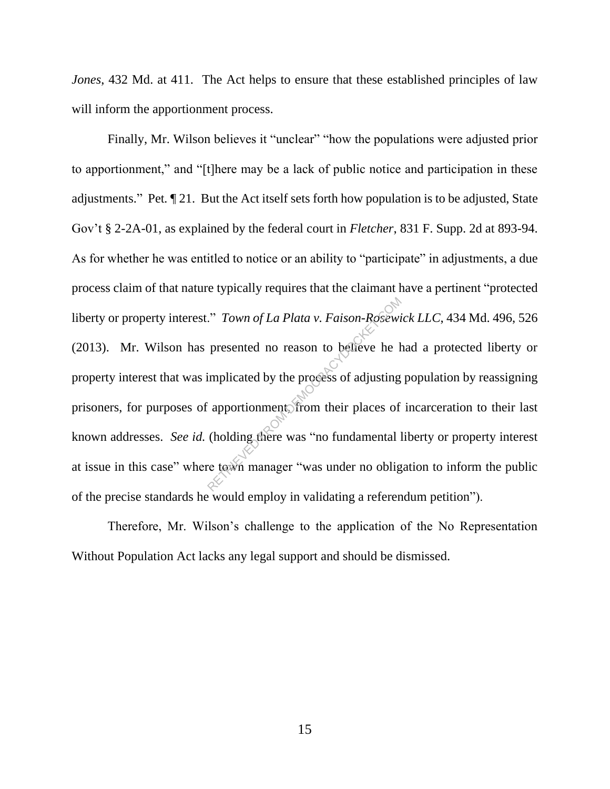*Jones*, 432 Md. at 411. The Act helps to ensure that these established principles of law will inform the apportionment process.

Finally, Mr. Wilson believes it "unclear" "how the populations were adjusted prior to apportionment," and "[t]here may be a lack of public notice and participation in these adjustments." Pet*.* ¶ 21. But the Act itself sets forth how population is to be adjusted, State Gov't § 2-2A-01, as explained by the federal court in *Fletcher*, 831 F. Supp. 2d at 893-94. As for whether he was entitled to notice or an ability to "participate" in adjustments, a due process claim of that nature typically requires that the claimant have a pertinent "protected liberty or property interest." *Town of La Plata v. Faison-Rosewick LLC*, 434 Md. 496, 526 (2013). Mr. Wilson has presented no reason to believe he had a protected liberty or property interest that was implicated by the process of adjusting population by reassigning prisoners, for purposes of apportionment, from their places of incarceration to their last known addresses. *See id.* (holding there was "no fundamental liberty or property interest at issue in this case" where town manager "was under no obligation to inform the public of the precise standards he would employ in validating a referendum petition"). Town of La Plata v. Faison-Rosewi<br>presented no reason to believe he h<br>implicated by the process of adjusting<br>apportionment. from their places of<br>(holding there was "no fundamental l<br>re town manager "was under no oblig

Therefore, Mr. Wilson's challenge to the application of the No Representation Without Population Act lacks any legal support and should be dismissed.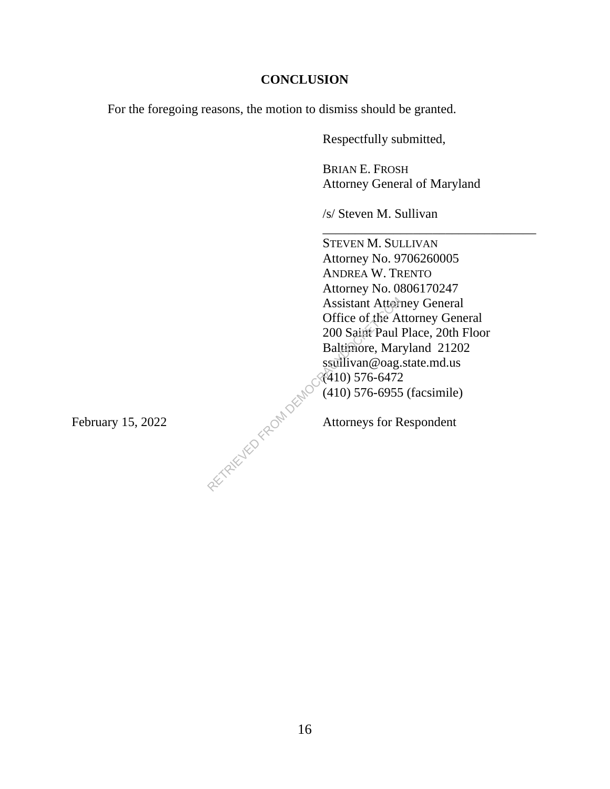### **CONCLUSION**

For the foregoing reasons, the motion to dismiss should be granted.

Respectfully submitted,

BRIAN E. FROSH Attorney General of Maryland

\_\_\_\_\_\_\_\_\_\_\_\_\_\_\_\_\_\_\_\_\_\_\_\_\_\_\_\_\_\_\_\_\_

/s/ Steven M. Sullivan

STEVEN M. SULLIVAN Attorney No. 9706260005 ANDREA W. TRENTO Attorney No. 0806170247 Assistant Attorney General Office of the Attorney General 200 Saint Paul Place, 20th Floor Baltimore, Maryland 21202 ssullivan@oag.state.md.us (410) 576-6472 (410) 576-6955 (facsimile) Assistant Attorn<br>
Office of the A<br>
200 Saint Paul<br>
Baltimore, Mar<br>
ssullivan@oag.<br>
(410) 576-6472<br>
(410) 576-6955<br>
Attorneys for R

February 15, 2022  $\bigcirc^{\mathcal{N}}$  Attorneys for Respondent